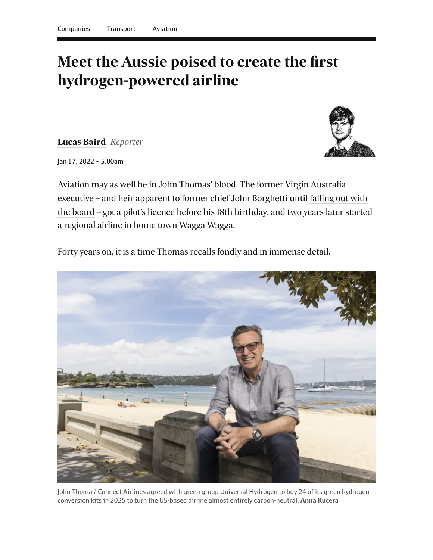## **Meet the Aussie poised to create the first hydrogen-powered airline**

**[Lucas Baird](https://www.afr.com/by/lucas-baird-h18hts)** *Reporter*



Jan 17, 2022 – 5.00am

Aviation may as well be in John Thomas' blood. The former Virgin Australia executive – and heir apparent to former chief John Borghetti until falling out with [the board – got a pilot's licence before his 18th birthday, and two years later started](https://www.afr.com/politics/senior-virgin-australia-executive-heads-for-the-exit-20170629-gx0yxm) a regional airline in home town Wagga Wagga.

Forty years on, it is a time Thomas recalls fondly and in immense detail.



John Thomas' Connect Airlines agreed with green group Universal Hydrogen to buy 24 of its green hydrogen conversion kits in 2025 to turn the US-based airline almost entirely carbon-neutral. **Anna Kucera**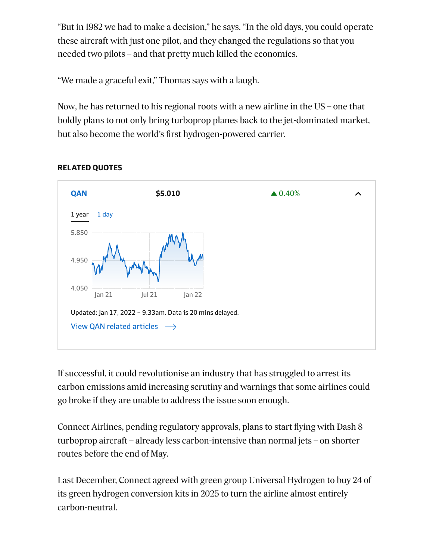"But in 1982 we had to make a decision," he says. "In the old days, you could operate these aircraft with just one pilot, and they changed the regulations so that you needed two pilots – and that pretty much killed the economics.

"We made a graceful exit," Thomas says with a laugh.

Now, he has returned to his regional roots with a new airline in the US – one that boldly plans to not only bring turboprop planes back to the jet-dominated market, but also become the world's first hydrogen-powered carrier.

<span id="page-1-0"></span>

## **RELATED QUOTES**

<span id="page-1-1"></span>If successful, it could revolutionise an industry that has struggled to arrest its carbon emissions amid increasing scrutiny and warnings that some airlines could go broke if they are unable to address the issue soon enough.

Connect Airlines, pending regulatory approvals, plans to start flying with Dash 8 turboprop aircraft – already less carbon-intensive than normal jets – on shorter routes before the end of May.

Last December, Connect agreed with green group Universal Hydrogen to buy 24 of its green hydrogen conversion kits in 2025 to turn the airline almost entirely carbon-neutral.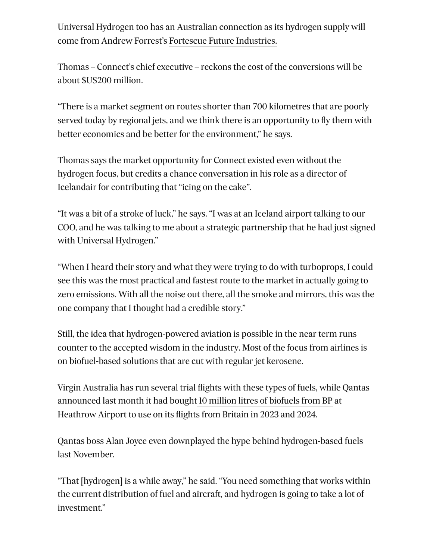Universal Hydrogen too has an Australian connection as its hydrogen supply will come from Andrew Forrest's [Fortescue Future Industries.](https://www.reuters.com/business/sustainable-business/fortescue-signs-deal-bring-green-hydrogen-airlines-more-come-2021-11-10/)

Thomas – Connect's chief executive – reckons the cost of the conversions will be about \$US200 million.

"There is a market segment on routes shorter than 700 kilometres that are poorly served today by regional jets, and we think there is an opportunity to fly them with better economics and be better for the environment," he says.

Thomas says the market opportunity for Connect existed even without the hydrogen focus, but credits a chance conversation in his role as a director of Icelandair for contributing that "icing on the cake".

"It was a bit of a stroke of luck," he says. "I was at an Iceland airport talking to our COO, and he was talking to me about a strategic partnership that he had just signed with Universal Hydrogen."

"When I heard their story and what they were trying to do with turboprops, I could see this was the most practical and fastest route to the market in actually going to zero emissions. With all the noise out there, all the smoke and mirrors, this was the one company that I thought had a credible story."

Still, the idea that hydrogen-powered aviation is possible in the near term runs counter to the accepted wisdom in the industry. Most of the focus from airlines is on biofuel-based solutions that are cut with regular jet kerosene.

Virgin Australia has run several trial flights with these types of fuels, while Qantas announced last month it had bought [10 million litres of biofuels from BP](https://www.afr.com/companies/transport/qantas-bp-link-up-in-race-to-net-zero-20210128-p56xey) at Heathrow Airport to use on its flights from Britain in 2023 and 2024.

Qantas boss Alan Joyce even downplayed the hype behind hydrogen-based fuels last November.

"That [hydrogen] is a while away," he said. "You need something that works within the current distribution of fuel and aircraft, and hydrogen is going to take a lot of investment."